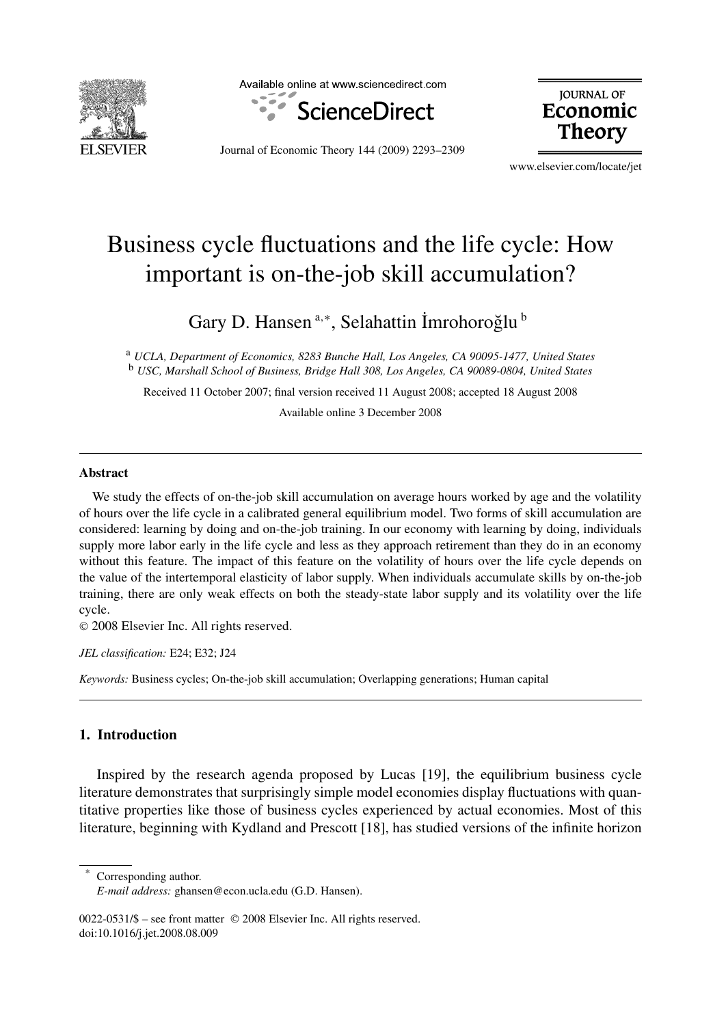

Available online at www.sciencedirect.com



**JOURNAL OF** Economic **Theory** 

Journal of Economic Theory 144 (2009) 2293–2309

www.elsevier.com/locate/jet

## Business cycle fluctuations and the life cycle: How important is on-the-job skill accumulation?

Gary D. Hansen<sup>a,∗</sup>, Selahattin İmrohoroğlu <sup>b</sup>

<sup>a</sup> *UCLA, Department of Economics, 8283 Bunche Hall, Los Angeles, CA 90095-1477, United States* <sup>b</sup> *USC, Marshall School of Business, Bridge Hall 308, Los Angeles, CA 90089-0804, United States*

Received 11 October 2007; final version received 11 August 2008; accepted 18 August 2008

Available online 3 December 2008

## **Abstract**

We study the effects of on-the-job skill accumulation on average hours worked by age and the volatility of hours over the life cycle in a calibrated general equilibrium model. Two forms of skill accumulation are considered: learning by doing and on-the-job training. In our economy with learning by doing, individuals supply more labor early in the life cycle and less as they approach retirement than they do in an economy without this feature. The impact of this feature on the volatility of hours over the life cycle depends on the value of the intertemporal elasticity of labor supply. When individuals accumulate skills by on-the-job training, there are only weak effects on both the steady-state labor supply and its volatility over the life cycle.

© 2008 Elsevier Inc. All rights reserved.

*JEL classification:* E24; E32; J24

*Keywords:* Business cycles; On-the-job skill accumulation; Overlapping generations; Human capital

## **1. Introduction**

Inspired by the research agenda proposed by Lucas [19], the equilibrium business cycle literature demonstrates that surprisingly simple model economies display fluctuations with quantitative properties like those of business cycles experienced by actual economies. Most of this literature, beginning with Kydland and Prescott [18], has studied versions of the infinite horizon

Corresponding author.

0022-0531/\$ – see front matter © 2008 Elsevier Inc. All rights reserved. doi:10.1016/j.jet.2008.08.009

*E-mail address:* ghansen@econ.ucla.edu (G.D. Hansen).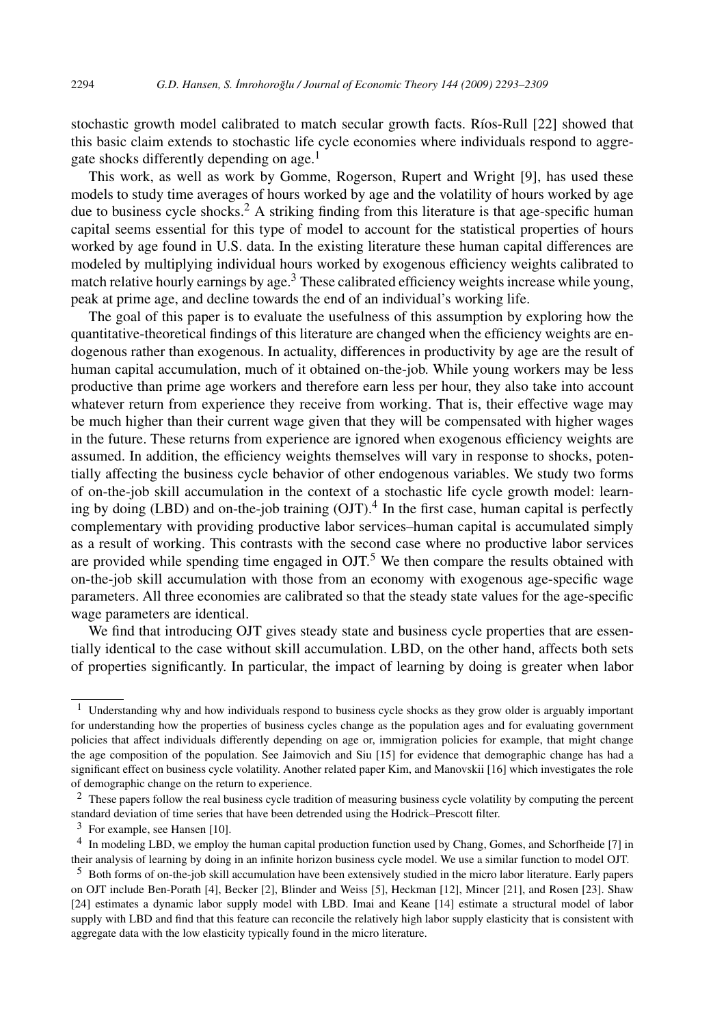stochastic growth model calibrated to match secular growth facts. Ríos-Rull [22] showed that this basic claim extends to stochastic life cycle economies where individuals respond to aggregate shocks differently depending on age.<sup>1</sup>

This work, as well as work by Gomme, Rogerson, Rupert and Wright [9], has used these models to study time averages of hours worked by age and the volatility of hours worked by age due to business cycle shocks.<sup>2</sup> A striking finding from this literature is that age-specific human capital seems essential for this type of model to account for the statistical properties of hours worked by age found in U.S. data. In the existing literature these human capital differences are modeled by multiplying individual hours worked by exogenous efficiency weights calibrated to match relative hourly earnings by age.<sup>3</sup> These calibrated efficiency weights increase while young, peak at prime age, and decline towards the end of an individual's working life.

The goal of this paper is to evaluate the usefulness of this assumption by exploring how the quantitative-theoretical findings of this literature are changed when the efficiency weights are endogenous rather than exogenous. In actuality, differences in productivity by age are the result of human capital accumulation, much of it obtained on-the-job. While young workers may be less productive than prime age workers and therefore earn less per hour, they also take into account whatever return from experience they receive from working. That is, their effective wage may be much higher than their current wage given that they will be compensated with higher wages in the future. These returns from experience are ignored when exogenous efficiency weights are assumed. In addition, the efficiency weights themselves will vary in response to shocks, potentially affecting the business cycle behavior of other endogenous variables. We study two forms of on-the-job skill accumulation in the context of a stochastic life cycle growth model: learning by doing (LBD) and on-the-job training  $(OJT)$ .<sup>4</sup> In the first case, human capital is perfectly complementary with providing productive labor services–human capital is accumulated simply as a result of working. This contrasts with the second case where no productive labor services are provided while spending time engaged in  $OJT<sup>5</sup>$  We then compare the results obtained with on-the-job skill accumulation with those from an economy with exogenous age-specific wage parameters. All three economies are calibrated so that the steady state values for the age-specific wage parameters are identical.

We find that introducing OJT gives steady state and business cycle properties that are essentially identical to the case without skill accumulation. LBD, on the other hand, affects both sets of properties significantly. In particular, the impact of learning by doing is greater when labor

<sup>2</sup> These papers follow the real business cycle tradition of measuring business cycle volatility by computing the percent standard deviation of time series that have been detrended using the Hodrick–Prescott filter.

<sup>&</sup>lt;sup>1</sup> Understanding why and how individuals respond to business cycle shocks as they grow older is arguably important for understanding how the properties of business cycles change as the population ages and for evaluating government policies that affect individuals differently depending on age or, immigration policies for example, that might change the age composition of the population. See Jaimovich and Siu [15] for evidence that demographic change has had a significant effect on business cycle volatility. Another related paper Kim, and Manovskii [16] which investigates the role of demographic change on the return to experience.

 $3$  For example, see Hansen [10].

<sup>4</sup> In modeling LBD, we employ the human capital production function used by Chang, Gomes, and Schorfheide [7] in their analysis of learning by doing in an infinite horizon business cycle model. We use a similar function to model OJT.

<sup>5</sup> Both forms of on-the-job skill accumulation have been extensively studied in the micro labor literature. Early papers on OJT include Ben-Porath [4], Becker [2], Blinder and Weiss [5], Heckman [12], Mincer [21], and Rosen [23]. Shaw [24] estimates a dynamic labor supply model with LBD. Imai and Keane [14] estimate a structural model of labor supply with LBD and find that this feature can reconcile the relatively high labor supply elasticity that is consistent with aggregate data with the low elasticity typically found in the micro literature.